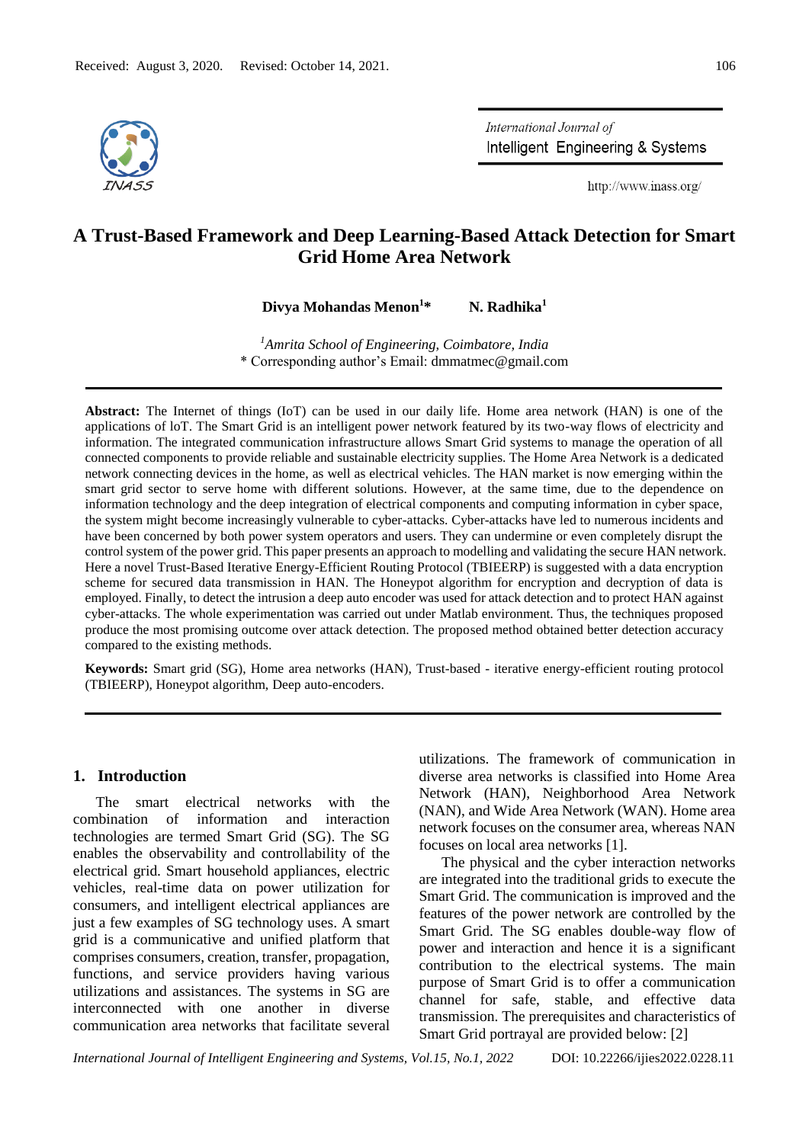

International Journal of Intelligent Engineering & Systems

http://www.inass.org/

# **A Trust-Based Framework and Deep Learning-Based Attack Detection for Smart Grid Home Area Network**

**Divya Mohandas Menon<sup>1</sup>\* N. Radhika<sup>1</sup>**

*<sup>1</sup>Amrita School of Engineering, Coimbatore, India* \* Corresponding author's Email: dmmatmec@gmail.com

**Abstract:** The Internet of things (IoT) can be used in our daily life. Home area network (HAN) is one of the applications of loT. The Smart Grid is an intelligent power network featured by its two-way flows of electricity and information. The integrated communication infrastructure allows Smart Grid systems to manage the operation of all connected components to provide reliable and sustainable electricity supplies. The Home Area Network is a dedicated network connecting devices in the home, as well as electrical vehicles. The HAN market is now emerging within the smart grid sector to serve home with different solutions. However, at the same time, due to the dependence on information technology and the deep integration of electrical components and computing information in cyber space, the system might become increasingly vulnerable to cyber-attacks. Cyber-attacks have led to numerous incidents and have been concerned by both power system operators and users. They can undermine or even completely disrupt the control system of the power grid. This paper presents an approach to modelling and validating the secure HAN network. Here a novel Trust-Based Iterative Energy-Efficient Routing Protocol (TBIEERP) is suggested with a data encryption scheme for secured data transmission in HAN. The Honeypot algorithm for encryption and decryption of data is employed. Finally, to detect the intrusion a deep auto encoder was used for attack detection and to protect HAN against cyber-attacks. The whole experimentation was carried out under Matlab environment. Thus, the techniques proposed produce the most promising outcome over attack detection. The proposed method obtained better detection accuracy compared to the existing methods.

**Keywords:** Smart grid (SG), Home area networks (HAN), Trust-based - iterative energy-efficient routing protocol (TBIEERP), Honeypot algorithm, Deep auto-encoders.

### **1. Introduction**

The smart electrical networks with the combination of information and interaction technologies are termed Smart Grid (SG). The SG enables the observability and controllability of the electrical grid. Smart household appliances, electric vehicles, real-time data on power utilization for consumers, and intelligent electrical appliances are just a few examples of SG technology uses. A smart grid is a communicative and unified platform that comprises consumers, creation, transfer, propagation, functions, and service providers having various utilizations and assistances. The systems in SG are interconnected with one another in diverse communication area networks that facilitate several utilizations. The framework of communication in diverse area networks is classified into Home Area Network (HAN), Neighborhood Area Network (NAN), and Wide Area Network (WAN). Home area network focuses on the consumer area, whereas NAN focuses on local area networks [1].

The physical and the cyber interaction networks are integrated into the traditional grids to execute the Smart Grid. The communication is improved and the features of the power network are controlled by the Smart Grid. The SG enables double-way flow of power and interaction and hence it is a significant contribution to the electrical systems. The main purpose of Smart Grid is to offer a communication channel for safe, stable, and effective data transmission. The prerequisites and characteristics of Smart Grid portrayal are provided below: [2]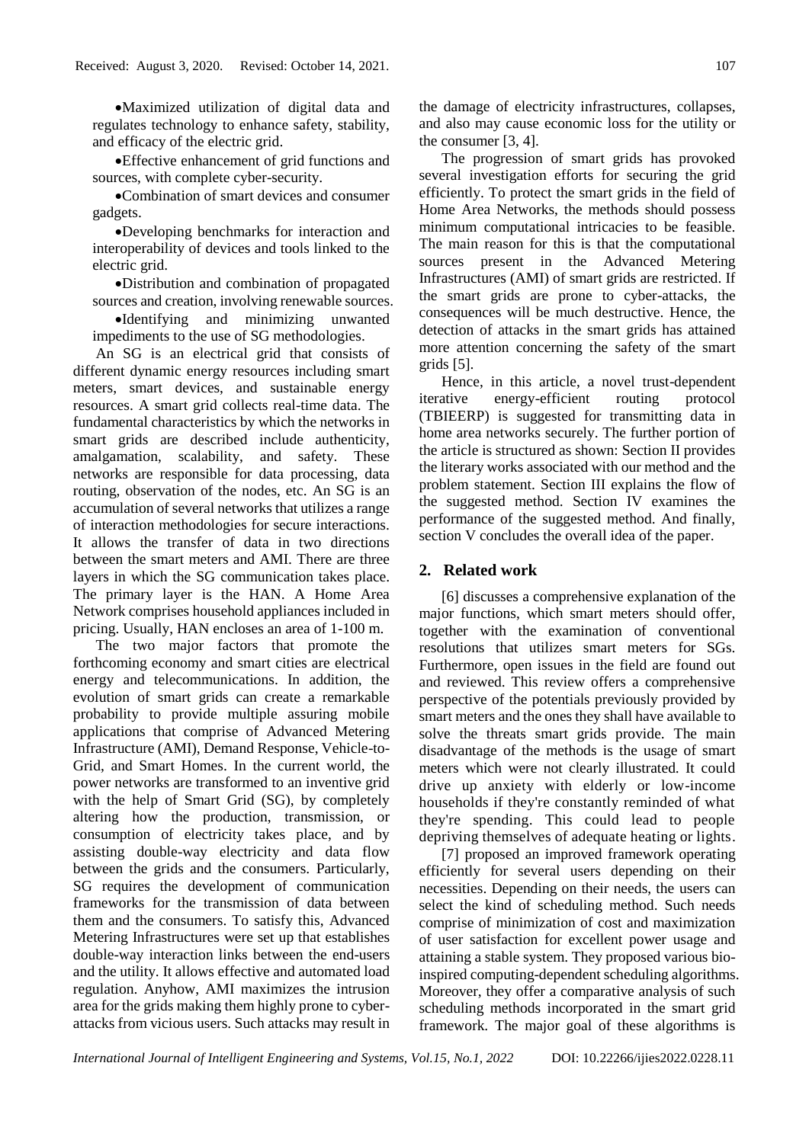•Maximized utilization of digital data and regulates technology to enhance safety, stability, and efficacy of the electric grid.

•Effective enhancement of grid functions and sources, with complete cyber-security.

•Combination of smart devices and consumer gadgets.

•Developing benchmarks for interaction and interoperability of devices and tools linked to the electric grid.

•Distribution and combination of propagated sources and creation, involving renewable sources.

•Identifying and minimizing unwanted impediments to the use of SG methodologies.

An SG is an electrical grid that consists of different dynamic energy resources including smart meters, smart devices, and sustainable energy resources. A smart grid collects real-time data. The fundamental characteristics by which the networks in smart grids are described include authenticity, amalgamation, scalability, and safety. These networks are responsible for data processing, data routing, observation of the nodes, etc. An SG is an accumulation of several networks that utilizes a range of interaction methodologies for secure interactions. It allows the transfer of data in two directions between the smart meters and AMI. There are three layers in which the SG communication takes place. The primary layer is the HAN. A Home Area Network comprises household appliances included in pricing. Usually, HAN encloses an area of 1-100 m.

The two major factors that promote the forthcoming economy and smart cities are electrical energy and telecommunications. In addition, the evolution of smart grids can create a remarkable probability to provide multiple assuring mobile applications that comprise of Advanced Metering Infrastructure (AMI), Demand Response, Vehicle-to-Grid, and Smart Homes. In the current world, the power networks are transformed to an inventive grid with the help of Smart Grid (SG), by completely altering how the production, transmission, or consumption of electricity takes place, and by assisting double-way electricity and data flow between the grids and the consumers. Particularly, SG requires the development of communication frameworks for the transmission of data between them and the consumers. To satisfy this, Advanced Metering Infrastructures were set up that establishes double-way interaction links between the end-users and the utility. It allows effective and automated load regulation. Anyhow, AMI maximizes the intrusion area for the grids making them highly prone to cyberattacks from vicious users. Such attacks may result in the damage of electricity infrastructures, collapses, and also may cause economic loss for the utility or the consumer [3, 4].

The progression of smart grids has provoked several investigation efforts for securing the grid efficiently. To protect the smart grids in the field of Home Area Networks, the methods should possess minimum computational intricacies to be feasible. The main reason for this is that the computational sources present in the Advanced Metering Infrastructures (AMI) of smart grids are restricted. If the smart grids are prone to cyber-attacks, the consequences will be much destructive. Hence, the detection of attacks in the smart grids has attained more attention concerning the safety of the smart grids [5].

Hence, in this article, a novel trust-dependent iterative energy-efficient routing protocol (TBIEERP) is suggested for transmitting data in home area networks securely. The further portion of the article is structured as shown: Section II provides the literary works associated with our method and the problem statement. Section III explains the flow of the suggested method. Section IV examines the performance of the suggested method. And finally, section V concludes the overall idea of the paper.

### **2. Related work**

[6] discusses a comprehensive explanation of the major functions, which smart meters should offer, together with the examination of conventional resolutions that utilizes smart meters for SGs. Furthermore, open issues in the field are found out and reviewed. This review offers a comprehensive perspective of the potentials previously provided by smart meters and the ones they shall have available to solve the threats smart grids provide. The main disadvantage of the methods is the usage of smart meters which were not clearly illustrated. It could drive up anxiety with elderly or low-income households if they're constantly reminded of what they're spending. This could lead to people depriving themselves of adequate heating or lights.

[7] proposed an improved framework operating efficiently for several users depending on their necessities. Depending on their needs, the users can select the kind of scheduling method. Such needs comprise of minimization of cost and maximization of user satisfaction for excellent power usage and attaining a stable system. They proposed various bioinspired computing-dependent scheduling algorithms. Moreover, they offer a comparative analysis of such scheduling methods incorporated in the smart grid framework. The major goal of these algorithms is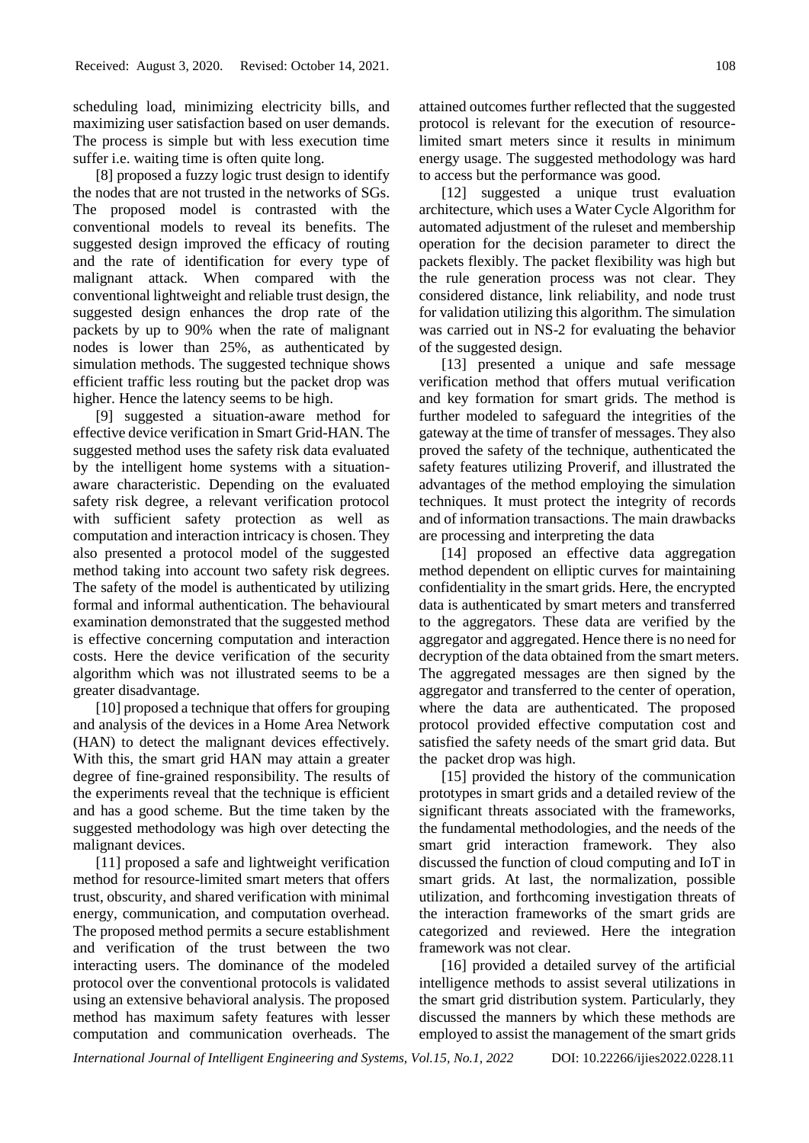scheduling load, minimizing electricity bills, and maximizing user satisfaction based on user demands. The process is simple but with less execution time suffer i.e. waiting time is often quite long.

[8] proposed a fuzzy logic trust design to identify the nodes that are not trusted in the networks of SGs. The proposed model is contrasted with the conventional models to reveal its benefits. The suggested design improved the efficacy of routing and the rate of identification for every type of malignant attack. When compared with the conventional lightweight and reliable trust design, the suggested design enhances the drop rate of the packets by up to 90% when the rate of malignant nodes is lower than 25%, as authenticated by simulation methods. The suggested technique shows efficient traffic less routing but the packet drop was higher. Hence the latency seems to be high.

[9] suggested a situation-aware method for effective device verification in Smart Grid-HAN. The suggested method uses the safety risk data evaluated by the intelligent home systems with a situationaware characteristic. Depending on the evaluated safety risk degree, a relevant verification protocol with sufficient safety protection as well as computation and interaction intricacy is chosen. They also presented a protocol model of the suggested method taking into account two safety risk degrees. The safety of the model is authenticated by utilizing formal and informal authentication. The behavioural examination demonstrated that the suggested method is effective concerning computation and interaction costs. Here the device verification of the security algorithm which was not illustrated seems to be a greater disadvantage.

[10] proposed a technique that offers for grouping and analysis of the devices in a Home Area Network (HAN) to detect the malignant devices effectively. With this, the smart grid HAN may attain a greater degree of fine-grained responsibility. The results of the experiments reveal that the technique is efficient and has a good scheme. But the time taken by the suggested methodology was high over detecting the malignant devices.

[11] proposed a safe and lightweight verification method for resource-limited smart meters that offers trust, obscurity, and shared verification with minimal energy, communication, and computation overhead. The proposed method permits a secure establishment and verification of the trust between the two interacting users. The dominance of the modeled protocol over the conventional protocols is validated using an extensive behavioral analysis. The proposed method has maximum safety features with lesser computation and communication overheads. The

attained outcomes further reflected that the suggested protocol is relevant for the execution of resourcelimited smart meters since it results in minimum energy usage. The suggested methodology was hard to access but the performance was good.

[12] suggested a unique trust evaluation architecture, which uses a Water Cycle Algorithm for automated adjustment of the ruleset and membership operation for the decision parameter to direct the packets flexibly. The packet flexibility was high but the rule generation process was not clear. They considered distance, link reliability, and node trust for validation utilizing this algorithm. The simulation was carried out in NS-2 for evaluating the behavior of the suggested design.

[13] presented a unique and safe message verification method that offers mutual verification and key formation for smart grids. The method is further modeled to safeguard the integrities of the gateway at the time of transfer of messages. They also proved the safety of the technique, authenticated the safety features utilizing Proverif, and illustrated the advantages of the method employing the simulation techniques. It must protect the integrity of records and of information transactions. The main drawbacks are processing and interpreting the data

[14] proposed an effective data aggregation method dependent on elliptic curves for maintaining confidentiality in the smart grids. Here, the encrypted data is authenticated by smart meters and transferred to the aggregators. These data are verified by the aggregator and aggregated. Hence there is no need for decryption of the data obtained from the smart meters. The aggregated messages are then signed by the aggregator and transferred to the center of operation, where the data are authenticated. The proposed protocol provided effective computation cost and satisfied the safety needs of the smart grid data. But the packet drop was high.

[15] provided the history of the communication prototypes in smart grids and a detailed review of the significant threats associated with the frameworks, the fundamental methodologies, and the needs of the smart grid interaction framework. They also discussed the function of cloud computing and IoT in smart grids. At last, the normalization, possible utilization, and forthcoming investigation threats of the interaction frameworks of the smart grids are categorized and reviewed. Here the integration framework was not clear.

[16] provided a detailed survey of the artificial intelligence methods to assist several utilizations in the smart grid distribution system. Particularly, they discussed the manners by which these methods are employed to assist the management of the smart grids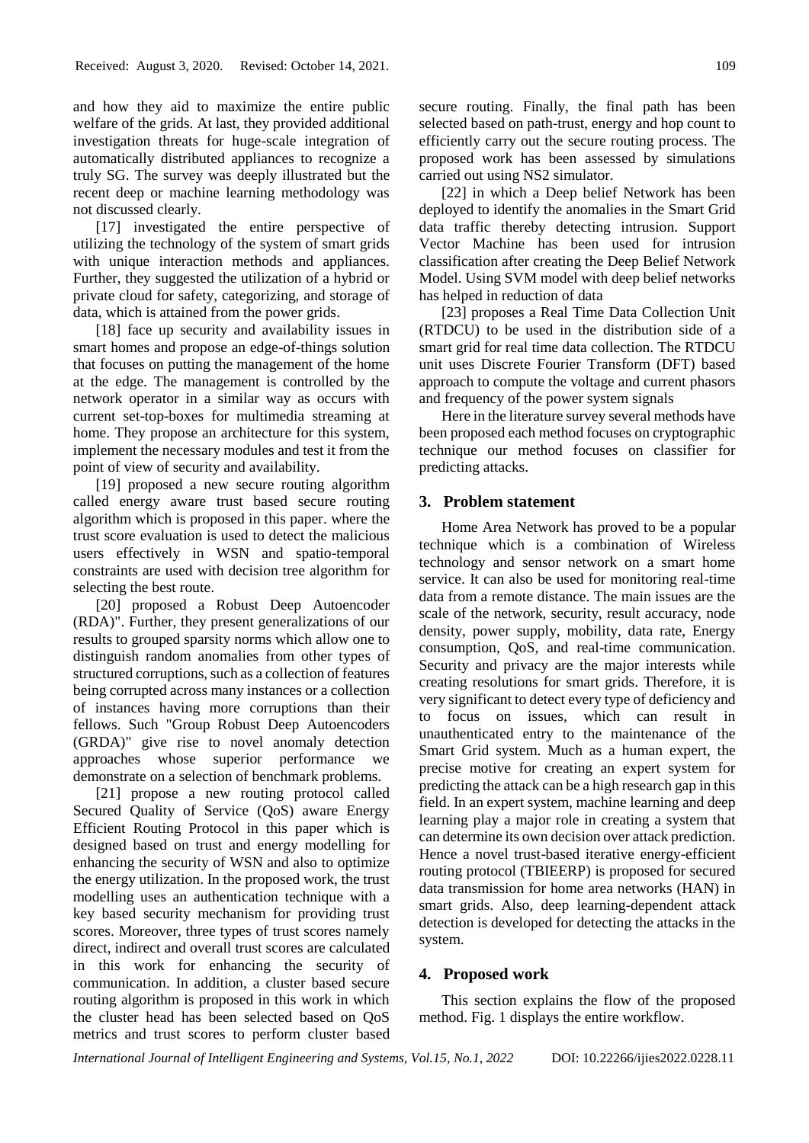and how they aid to maximize the entire public welfare of the grids. At last, they provided additional investigation threats for huge-scale integration of automatically distributed appliances to recognize a truly SG. The survey was deeply illustrated but the recent deep or machine learning methodology was not discussed clearly.

[17] investigated the entire perspective of utilizing the technology of the system of smart grids with unique interaction methods and appliances. Further, they suggested the utilization of a hybrid or private cloud for safety, categorizing, and storage of data, which is attained from the power grids.

[18] face up security and availability issues in smart homes and propose an edge-of-things solution that focuses on putting the management of the home at the edge. The management is controlled by the network operator in a similar way as occurs with current set-top-boxes for multimedia streaming at home. They propose an architecture for this system, implement the necessary modules and test it from the point of view of security and availability.

[19] proposed a new secure routing algorithm called energy aware trust based secure routing algorithm which is proposed in this paper. where the trust score evaluation is used to detect the malicious users effectively in WSN and spatio-temporal constraints are used with decision tree algorithm for selecting the best route.

[20] proposed a Robust Deep Autoencoder (RDA)". Further, they present generalizations of our results to grouped sparsity norms which allow one to distinguish random anomalies from other types of structured corruptions, such as a collection of features being corrupted across many instances or a collection of instances having more corruptions than their fellows. Such "Group Robust Deep Autoencoders (GRDA)" give rise to novel anomaly detection approaches whose superior performance we demonstrate on a selection of benchmark problems.

[21] propose a new routing protocol called Secured Quality of Service (QoS) aware Energy Efficient Routing Protocol in this paper which is designed based on trust and energy modelling for enhancing the security of WSN and also to optimize the energy utilization. In the proposed work, the trust modelling uses an authentication technique with a key based security mechanism for providing trust scores. Moreover, three types of trust scores namely direct, indirect and overall trust scores are calculated in this work for enhancing the security of communication. In addition, a cluster based secure routing algorithm is proposed in this work in which the cluster head has been selected based on QoS metrics and trust scores to perform cluster based

secure routing. Finally, the final path has been selected based on path-trust, energy and hop count to efficiently carry out the secure routing process. The proposed work has been assessed by simulations carried out using NS2 simulator.

[22] in which a Deep belief Network has been deployed to identify the anomalies in the Smart Grid data traffic thereby detecting intrusion. Support Vector Machine has been used for intrusion classification after creating the Deep Belief Network Model. Using SVM model with deep belief networks has helped in reduction of data

[23] proposes a Real Time Data Collection Unit (RTDCU) to be used in the distribution side of a smart grid for real time data collection. The RTDCU unit uses Discrete Fourier Transform (DFT) based approach to compute the voltage and current phasors and frequency of the power system signals

Here in the literature survey several methods have been proposed each method focuses on cryptographic technique our method focuses on classifier for predicting attacks.

## **3. Problem statement**

Home Area Network has proved to be a popular technique which is a combination of Wireless technology and sensor network on a smart home service. It can also be used for monitoring real-time data from a remote distance. The main issues are the scale of the network, security, result accuracy, node density, power supply, mobility, data rate, Energy consumption, QoS, and real-time communication. Security and privacy are the major interests while creating resolutions for smart grids. Therefore, it is very significant to detect every type of deficiency and to focus on issues, which can result in unauthenticated entry to the maintenance of the Smart Grid system. Much as a human expert, the precise motive for creating an expert system for predicting the attack can be a high research gap in this field. In an expert system, machine learning and deep learning play a major role in creating a system that can determine its own decision over attack prediction. Hence a novel trust-based iterative energy-efficient routing protocol (TBIEERP) is proposed for secured data transmission for home area networks (HAN) in smart grids. Also, deep learning-dependent attack detection is developed for detecting the attacks in the system.

### **4. Proposed work**

This section explains the flow of the proposed method. Fig. 1 displays the entire workflow.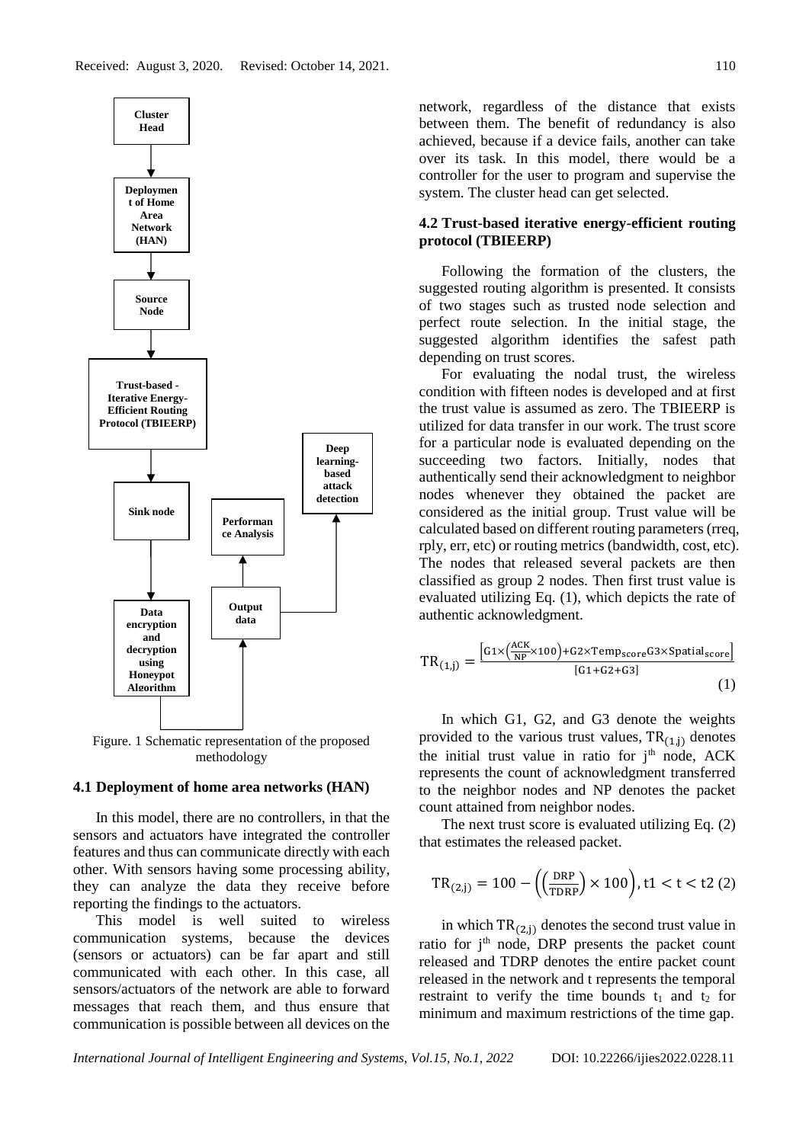

Figure. 1 Schematic representation of the proposed methodology

#### **4.1 Deployment of home area networks (HAN)**

In this model, there are no controllers, in that the sensors and actuators have integrated the controller features and thus can communicate directly with each other. With sensors having some processing ability, they can analyze the data they receive before reporting the findings to the actuators.

This model is well suited to wireless communication systems, because the devices (sensors or actuators) can be far apart and still communicated with each other. In this case, all sensors/actuators of the network are able to forward messages that reach them, and thus ensure that communication is possible between all devices on the

network, regardless of the distance that exists between them. The benefit of redundancy is also achieved, because if a device fails, another can take over its task. In this model, there would be a controller for the user to program and supervise the system. The cluster head can get selected.

# **4.2 Trust-based iterative energy-efficient routing protocol (TBIEERP)**

Following the formation of the clusters, the suggested routing algorithm is presented. It consists of two stages such as trusted node selection and perfect route selection. In the initial stage, the suggested algorithm identifies the safest path depending on trust scores.

For evaluating the nodal trust, the wireless condition with fifteen nodes is developed and at first the trust value is assumed as zero. The TBIEERP is utilized for data transfer in our work. The trust score for a particular node is evaluated depending on the succeeding two factors. Initially, nodes that authentically send their acknowledgment to neighbor nodes whenever they obtained the packet are considered as the initial group. Trust value will be calculated based on different routing parameters (rreq, rply, err, etc) or routing metrics (bandwidth, cost, etc). The nodes that released several packets are then classified as group 2 nodes. Then first trust value is evaluated utilizing Eq. (1), which depicts the rate of authentic acknowledgment.

$$
TR_{(1,j)} = \frac{\left[G1 \times \left(\frac{ACK}{NP} \times 100\right) + G2 \times Temp_{score} G3 \times Spatial_{score}\right]}{\left[G1 + G2 + G3\right]}
$$
\n(1)

In which G1, G2, and G3 denote the weights provided to the various trust values,  $TR_{(1,j)}$  denotes the initial trust value in ratio for  $j<sup>th</sup>$  node, ACK represents the count of acknowledgment transferred to the neighbor nodes and NP denotes the packet count attained from neighbor nodes.

The next trust score is evaluated utilizing Eq. (2) that estimates the released packet.

$$
TR_{(2,j)} = 100 - \left( \left( \frac{DRP}{TDRP} \right) \times 100 \right), t1 < t < t2 \text{ (2)}
$$

in which  $TR_{(2,i)}$  denotes the second trust value in ratio for j<sup>th</sup> node, DRP presents the packet count released and TDRP denotes the entire packet count released in the network and t represents the temporal restraint to verify the time bounds  $t_1$  and  $t_2$  for minimum and maximum restrictions of the time gap.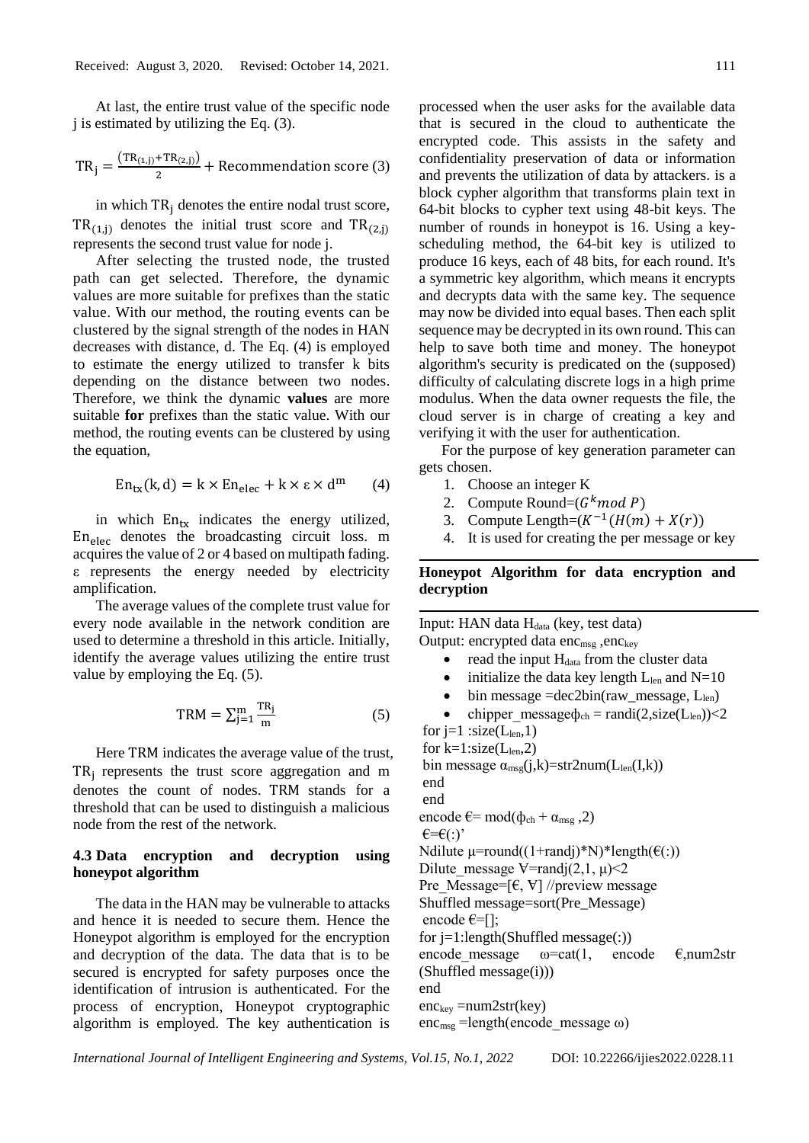At last, the entire trust value of the specific node j is estimated by utilizing the Eq. (3).

$$
TR_j = \frac{(TR_{(1,j)} + TR_{(2,j)})}{2} + Recommentation score (3)
$$

in which  $TR_i$  denotes the entire nodal trust score,  $TR_{(1,i)}$  denotes the initial trust score and  $TR_{(2,i)}$ represents the second trust value for node j.

After selecting the trusted node, the trusted path can get selected. Therefore, the dynamic values are more suitable for prefixes than the static value. With our method, the routing events can be clustered by the signal strength of the nodes in HAN decreases with distance, d. The Eq. (4) is employed to estimate the energy utilized to transfer k bits depending on the distance between two nodes. Therefore, we think the dynamic **values** are more suitable **for** prefixes than the static value. With our method, the routing events can be clustered by using the equation,

$$
En_{tx}(k, d) = k \times En_{elec} + k \times \varepsilon \times d^{m}
$$
 (4)

in which  $En<sub>tx</sub>$  indicates the energy utilized,  $En<sub>elec</sub>$  denotes the broadcasting circuit loss. m acquires the value of 2 or 4 based on multipath fading. ε represents the energy needed by electricity amplification.

The average values of the complete trust value for every node available in the network condition are used to determine a threshold in this article. Initially, identify the average values utilizing the entire trust value by employing the Eq. (5).

$$
TRM = \sum_{j=1}^{m} \frac{TR_j}{m}
$$
 (5)

Here TRM indicates the average value of the trust, TR<sup>j</sup> represents the trust score aggregation and m denotes the count of nodes. TRM stands for a threshold that can be used to distinguish a malicious node from the rest of the network.

# **4.3 Data encryption and decryption using honeypot algorithm**

The data in the HAN may be vulnerable to attacks and hence it is needed to secure them. Hence the Honeypot algorithm is employed for the encryption and decryption of the data. The data that is to be secured is encrypted for safety purposes once the identification of intrusion is authenticated. For the process of encryption, Honeypot cryptographic algorithm is employed. The key authentication is processed when the user asks for the available data that is secured in the cloud to authenticate the encrypted code. This assists in the safety and confidentiality preservation of data or information and prevents the utilization of data by attackers. is a block cypher algorithm that transforms plain text in 64-bit blocks to cypher text using 48-bit keys. The number of rounds in honeypot is 16. Using a keyscheduling method, the 64-bit key is utilized to produce 16 keys, each of 48 bits, for each round. It's a symmetric key algorithm, which means it encrypts and decrypts data with the same key. The sequence may now be divided into equal bases. Then each split sequence may be decrypted in its own round. This can help to save both time and money. The honeypot algorithm's security is predicated on the (supposed) difficulty of calculating discrete logs in a high prime modulus. When the data owner requests the file, the cloud server is in charge of creating a key and verifying it with the user for authentication.

For the purpose of key generation parameter can gets chosen.

- 1. Choose an integer K
- 2. Compute Round= $(G^k \mod P)$
- 3. Compute Length= $(K^{-1}(H(m) + X(r)))$
- 4. It is used for creating the per message or key

# **Honeypot Algorithm for data encryption and decryption**

Input: HAN data  $H_{data}$  (key, test data) Output: encrypted data enc<sub>msg</sub>, enc<sub>key</sub>

- $\bullet$  read the input  $H_{data}$  from the cluster data
- initialize the data key length  $L_{len}$  and  $N=10$
- bin message  $=$ dec2bin(raw\_message,  $L_{len}$ )
- chipper message $\phi_{ch} = \text{randi}(2,\text{size}(L_{len})) < 2$

for  $i=1$ :size( $L_{len}$ ,1) for  $k=1:size(L_{len},2)$ bin message  $\alpha_{\rm msg}(j,k)$ =str2num(L<sub>len</sub>(I,k)) end end encode  $\varepsilon$ = mod( $\phi_{ch}$  +  $\alpha_{msg}$ , 2)  $\epsilon = \epsilon$ (:)' Ndilute  $\mu$ =round((1+randj)\*N)\*length( $\epsilon$ (:)) Dilute message  $\forall$ =randj(2,1,  $\mu$ )<2 Pre Message=[ $\in$ ,  $\forall$ ] //preview message Shuffled message=sort(Pre\_Message) encode  $\varepsilon = [$ ]; for  $i=1$ :length(Shuffled message(:)) encode message  $\omega = \text{cat}(1, \text{ encode } \in \mathcal{F}$ , num2str (Shuffled message(i))) end  $enc_{key} = num2str(key)$ enc<sub>msg</sub> =length(encode message ω)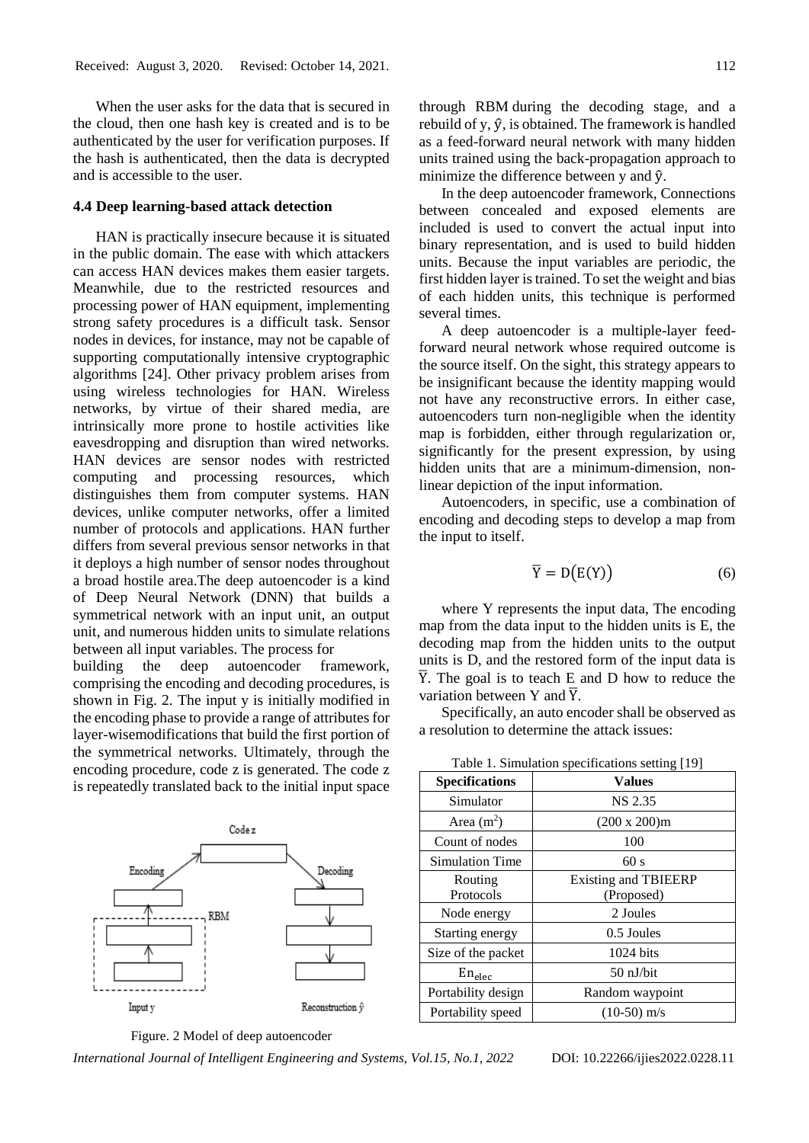When the user asks for the data that is secured in the cloud, then one hash key is created and is to be authenticated by the user for verification purposes. If the hash is authenticated, then the data is decrypted and is accessible to the user.

### **4.4 Deep learning-based attack detection**

HAN is practically insecure because it is situated in the public domain. The ease with which attackers can access HAN devices makes them easier targets. Meanwhile, due to the restricted resources and processing power of HAN equipment, implementing strong safety procedures is a difficult task. Sensor nodes in devices, for instance, may not be capable of supporting computationally intensive cryptographic algorithms [24]. Other privacy problem arises from using wireless technologies for HAN. Wireless networks, by virtue of their shared media, are intrinsically more prone to hostile activities like eavesdropping and disruption than wired networks. HAN devices are sensor nodes with restricted computing and processing resources, which distinguishes them from computer systems. HAN devices, unlike computer networks, offer a limited number of protocols and applications. HAN further differs from several previous sensor networks in that it deploys a high number of sensor nodes throughout a broad hostile area.The deep autoencoder is a kind of Deep Neural Network (DNN) that builds a symmetrical network with an input unit, an output unit, and numerous hidden units to simulate relations between all input variables. The process for building the deep autoencoder framework, comprising the encoding and decoding procedures, is shown in Fig. 2. The input y is initially modified in the encoding phase to provide a range of attributes for

layer-wisemodifications that build the first portion of the symmetrical networks. Ultimately, through the encoding procedure, code z is generated. The code z is repeatedly translated back to the initial input space



Figure. 2 Model of deep autoencoder

*International Journal of Intelligent Engineering and Systems, Vol.15, No.1, 2022* DOI: 10.22266/ijies2022.0228.11

through RBM during the decoding stage, and a rebuild of y,  $\hat{y}$ , is obtained. The framework is handled as a feed-forward neural network with many hidden

minimize the difference between y and  $\hat{v}$ . In the deep autoencoder framework, Connections between concealed and exposed elements are included is used to convert the actual input into binary representation, and is used to build hidden units. Because the input variables are periodic, the first hidden layer is trained. To set the weight and bias of each hidden units, this technique is performed several times.

units trained using the back-propagation approach to

A deep autoencoder is a multiple-layer feedforward neural network whose required outcome is the source itself. On the sight, this strategy appears to be insignificant because the identity mapping would not have any reconstructive errors. In either case, autoencoders turn non-negligible when the identity map is forbidden, either through regularization or, significantly for the present expression, by using hidden units that are a minimum-dimension, nonlinear depiction of the input information.

Autoencoders, in specific, use a combination of encoding and decoding steps to develop a map from the input to itself.

$$
\overline{Y} = D(E(Y)) \tag{6}
$$

where Y represents the input data, The encoding map from the data input to the hidden units is E, the decoding map from the hidden units to the output units is D, and the restored form of the input data is  $\overline{Y}$ . The goal is to teach E and D how to reduce the variation between Y and  $\overline{Y}$ .

Specifically, an auto encoder shall be observed as a resolution to determine the attack issues:

| <b>Specifications</b> | <b>Values</b>               |
|-----------------------|-----------------------------|
| Simulator             | NS 2.35                     |
| Area $(m2)$           | $(200 \times 200)$ m        |
| Count of nodes        | 100                         |
| Simulation Time       | 60s                         |
| Routing               | <b>Existing and TBIEERP</b> |
| Protocols             | (Proposed)                  |
| Node energy           | 2 Joules                    |
| Starting energy       | 0.5 Joules                  |
| Size of the packet    | $1024$ bits                 |
| En <sub>elec</sub>    | $50$ nJ/bit                 |
| Portability design    | Random waypoint             |
| Portability speed     | $(10-50)$ m/s               |

Table 1. Simulation specifications setting [19]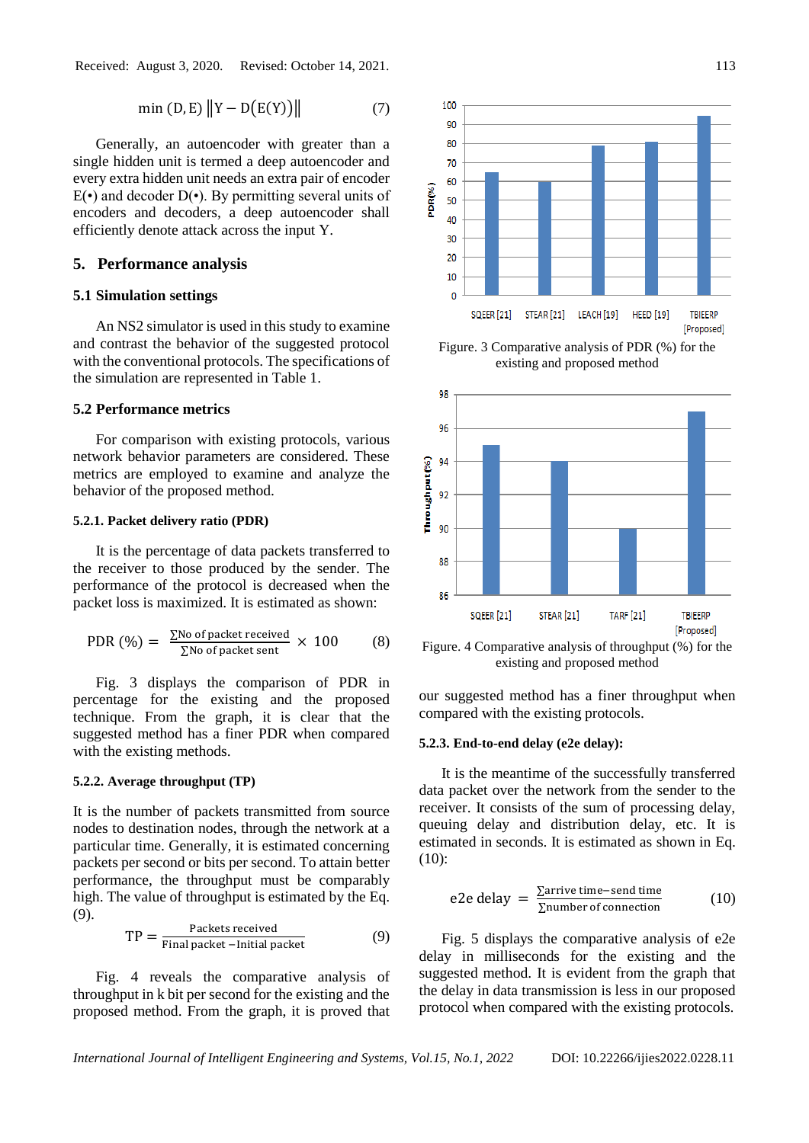$$
\min(D, E) \|Y - D(E(Y))\| \tag{7}
$$

Generally, an autoencoder with greater than a single hidden unit is termed a deep autoencoder and every extra hidden unit needs an extra pair of encoder  $E(\cdot)$  and decoder  $D(\cdot)$ . By permitting several units of encoders and decoders, a deep autoencoder shall efficiently denote attack across the input Y.

### **5. Performance analysis**

### **5.1 Simulation settings**

An NS2 simulator is used in this study to examine and contrast the behavior of the suggested protocol with the conventional protocols. The specifications of the simulation are represented in Table 1.

# **5.2 Performance metrics**

For comparison with existing protocols, various network behavior parameters are considered. These metrics are employed to examine and analyze the behavior of the proposed method.

### **5.2.1. Packet delivery ratio (PDR)**

It is the percentage of data packets transferred to the receiver to those produced by the sender. The performance of the protocol is decreased when the packet loss is maximized. It is estimated as shown:

PDR (
$$
\%
$$
) =  $\frac{\Sigma \text{No of packet received}}{\Sigma \text{No of packet sent}} \times 100$  (8)

Fig. 3 displays the comparison of PDR in percentage for the existing and the proposed technique. From the graph, it is clear that the suggested method has a finer PDR when compared with the existing methods.

# **5.2.2. Average throughput (TP)**

It is the number of packets transmitted from source nodes to destination nodes, through the network at a particular time. Generally, it is estimated concerning packets per second or bits per second. To attain better performance, the throughput must be comparably high. The value of throughput is estimated by the Eq. (9).

$$
TP = \frac{Packets received}{Final packet - Initial packet}
$$
 (9)

Fig. 4 reveals the comparative analysis of throughput in k bit per second for the existing and the proposed method. From the graph, it is proved that



Figure. 3 Comparative analysis of PDR (%) for the existing and proposed method



Figure. 4 Comparative analysis of throughput (%) for the existing and proposed method

our suggested method has a finer throughput when compared with the existing protocols.

#### **5.2.3. End-to-end delay (e2e delay):**

It is the meantime of the successfully transferred data packet over the network from the sender to the receiver. It consists of the sum of processing delay, queuing delay and distribution delay, etc. It is estimated in seconds. It is estimated as shown in Eq. (10):

e2e delay = 
$$
\frac{\sum \text{arrive time--send time}}{\sum \text{number of connection}}
$$
 (10)

Fig. 5 displays the comparative analysis of e2e delay in milliseconds for the existing and the suggested method. It is evident from the graph that the delay in data transmission is less in our proposed protocol when compared with the existing protocols.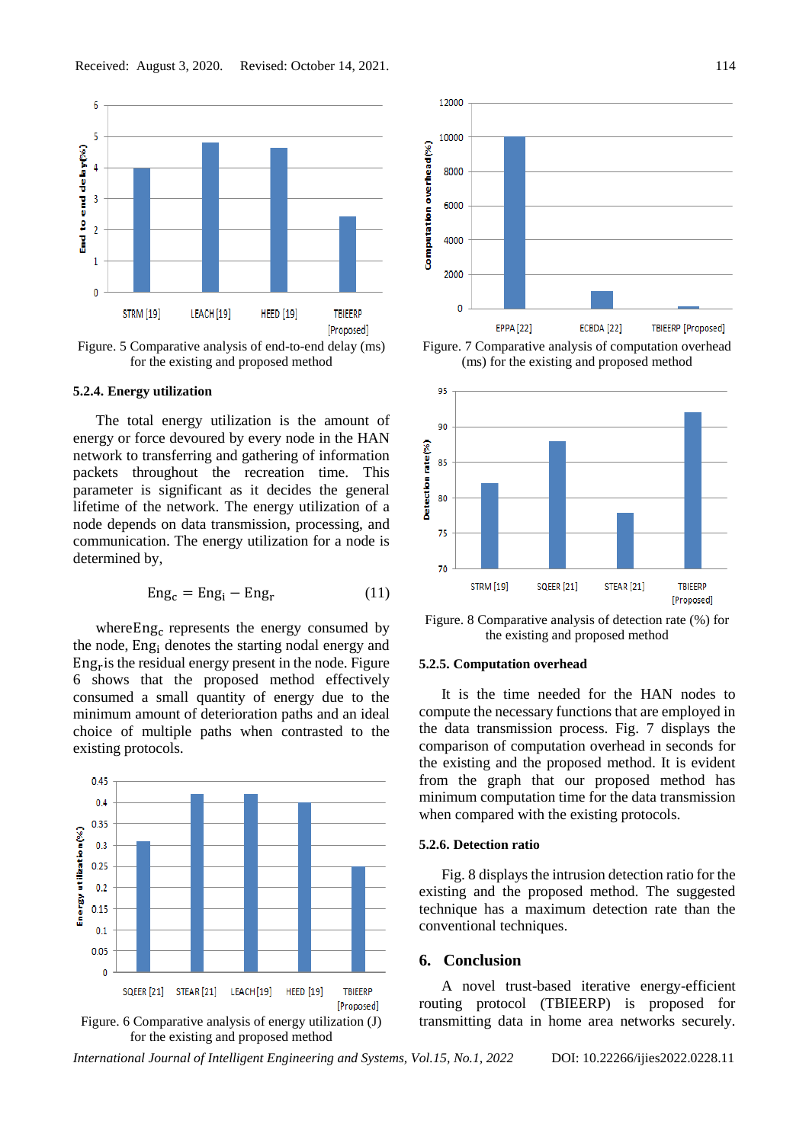

Figure. 5 Comparative analysis of end-to-end delay (ms) for the existing and proposed method

### **5.2.4. Energy utilization**

The total energy utilization is the amount of energy or force devoured by every node in the HAN network to transferring and gathering of information packets throughout the recreation time. This parameter is significant as it decides the general lifetime of the network. The energy utilization of a node depends on data transmission, processing, and communication. The energy utilization for a node is determined by,

$$
Eng_c = Eng_i - Eng_r \tag{11}
$$

where Eng<sub>c</sub> represents the energy consumed by the node, Eng<sup>i</sup> denotes the starting nodal energy and Eng<sup>r</sup> is the residual energy present in the node. Figure 6 shows that the proposed method effectively consumed a small quantity of energy due to the minimum amount of deterioration paths and an ideal choice of multiple paths when contrasted to the existing protocols.







Figure. 7 Comparative analysis of computation overhead (ms) for the existing and proposed method



Figure. 8 Comparative analysis of detection rate (%) for the existing and proposed method

### **5.2.5. Computation overhead**

It is the time needed for the HAN nodes to compute the necessary functions that are employed in the data transmission process. Fig. 7 displays the comparison of computation overhead in seconds for the existing and the proposed method. It is evident from the graph that our proposed method has minimum computation time for the data transmission when compared with the existing protocols.

### **5.2.6. Detection ratio**

Fig. 8 displays the intrusion detection ratio for the existing and the proposed method. The suggested technique has a maximum detection rate than the conventional techniques.

# **6. Conclusion**

A novel trust-based iterative energy-efficient routing protocol (TBIEERP) is proposed for transmitting data in home area networks securely.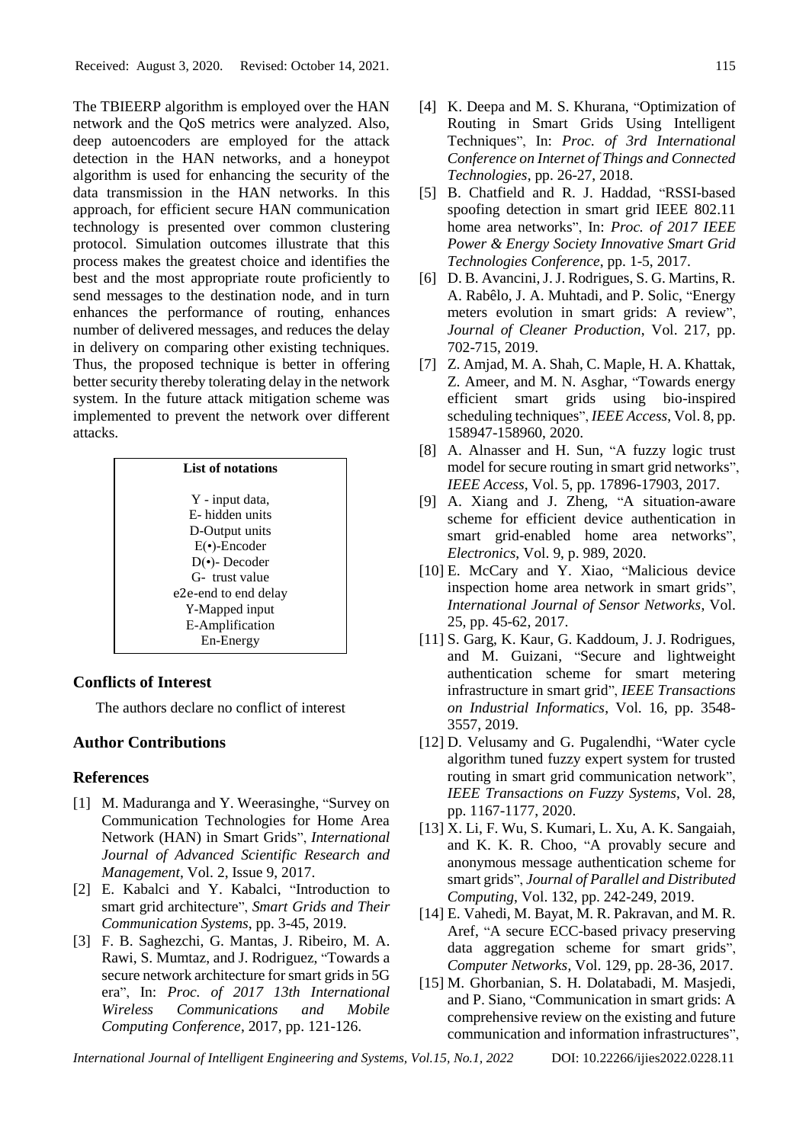The TBIEERP algorithm is employed over the HAN network and the QoS metrics were analyzed. Also, deep autoencoders are employed for the attack detection in the HAN networks, and a honeypot algorithm is used for enhancing the security of the data transmission in the HAN networks. In this approach, for efficient secure HAN communication technology is presented over common clustering protocol. Simulation outcomes illustrate that this process makes the greatest choice and identifies the best and the most appropriate route proficiently to send messages to the destination node, and in turn enhances the performance of routing, enhances number of delivered messages, and reduces the delay in delivery on comparing other existing techniques. Thus, the proposed technique is better in offering better security thereby tolerating delay in the network system. In the future attack mitigation scheme was implemented to prevent the network over different attacks.

| List of notations    |  |
|----------------------|--|
| Y - input data,      |  |
| E-hidden units       |  |
| D-Output units       |  |
| $E(\cdot)$ -Encoder  |  |
| $D(\cdot)$ - Decoder |  |
| G-trust value        |  |
| e2e-end to end delay |  |
| Y-Mapped input       |  |
| E-Amplification      |  |
| En-Energy            |  |

### **Conflicts of Interest**

The authors declare no conflict of interest

# **Author Contributions**

### **References**

- [1] M. Maduranga and Y. Weerasinghe, "Survey on Communication Technologies for Home Area Network (HAN) in Smart Grids", *International Journal of Advanced Scientific Research and Management*, Vol. 2, Issue 9, 2017.
- [2] E. Kabalci and Y. Kabalci, "Introduction to smart grid architecture", *Smart Grids and Their Communication Systems*, pp. 3-45, 2019.
- [3] F. B. Saghezchi, G. Mantas, J. Ribeiro, M. A. Rawi, S. Mumtaz, and J. Rodriguez, "Towards a secure network architecture for smart grids in 5G era", In: *Proc. of 2017 13th International Wireless Communications and Mobile Computing Conference*, 2017, pp. 121-126.
- [4] K. Deepa and M. S. Khurana, "Optimization of Routing in Smart Grids Using Intelligent Techniques", In: *Proc. of 3rd International Conference on Internet of Things and Connected Technologies*, pp. 26-27, 2018.
- [5] B. Chatfield and R. J. Haddad, "RSSI-based spoofing detection in smart grid IEEE 802.11 home area networks", In: *Proc. of 2017 IEEE Power & Energy Society Innovative Smart Grid Technologies Conference*, pp. 1-5, 2017.
- [6] D. B. Avancini, J. J. Rodrigues, S. G. Martins, R. A. Rabêlo, J. A. Muhtadi, and P. Solic, "Energy meters evolution in smart grids: A review", *Journal of Cleaner Production*, Vol. 217, pp. 702-715, 2019.
- [7] Z. Amjad, M. A. Shah, C. Maple, H. A. Khattak, Z. Ameer, and M. N. Asghar, "Towards energy efficient smart grids using bio-inspired scheduling techniques", *IEEE Access*, Vol. 8, pp. 158947-158960, 2020.
- [8] A. Alnasser and H. Sun, "A fuzzy logic trust model for secure routing in smart grid networks", *IEEE Access*, Vol. 5, pp. 17896-17903, 2017.
- [9] A. Xiang and J. Zheng, "A situation-aware scheme for efficient device authentication in smart grid-enabled home area networks", *Electronics*, Vol. 9, p. 989, 2020.
- [10] E. McCary and Y. Xiao, "Malicious device inspection home area network in smart grids", *International Journal of Sensor Networks*, Vol. 25, pp. 45-62, 2017.
- [11] S. Garg, K. Kaur, G. Kaddoum, J. J. Rodrigues, and M. Guizani, "Secure and lightweight authentication scheme for smart metering infrastructure in smart grid", *IEEE Transactions on Industrial Informatics*, Vol. 16, pp. 3548- 3557, 2019.
- [12] D. Velusamy and G. Pugalendhi, "Water cycle algorithm tuned fuzzy expert system for trusted routing in smart grid communication network", *IEEE Transactions on Fuzzy Systems*, Vol. 28, pp. 1167-1177, 2020.
- [13] X. Li, F. Wu, S. Kumari, L. Xu, A. K. Sangaiah, and K. K. R. Choo, "A provably secure and anonymous message authentication scheme for smart grids", *Journal of Parallel and Distributed Computing*, Vol. 132, pp. 242-249, 2019.
- [14] E. Vahedi, M. Bayat, M. R. Pakravan, and M. R. Aref, "A secure ECC-based privacy preserving data aggregation scheme for smart grids", *Computer Networks*, Vol. 129, pp. 28-36, 2017.
- [15] M. Ghorbanian, S. H. Dolatabadi, M. Masjedi, and P. Siano, "Communication in smart grids: A comprehensive review on the existing and future communication and information infrastructures",